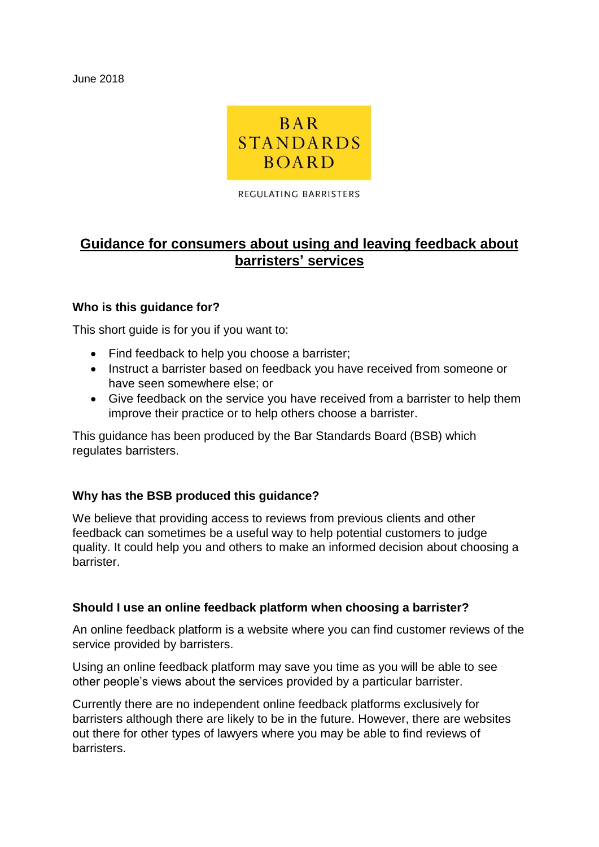June 2018



REGULATING BARRISTERS

# **Guidance for consumers about using and leaving feedback about barristers' services**

## **Who is this guidance for?**

This short guide is for you if you want to:

- Find feedback to help you choose a barrister;
- Instruct a barrister based on feedback you have received from someone or have seen somewhere else; or
- Give feedback on the service you have received from a barrister to help them improve their practice or to help others choose a barrister.

This guidance has been produced by the Bar Standards Board (BSB) which regulates barristers.

## **Why has the BSB produced this guidance?**

We believe that providing access to reviews from previous clients and other feedback can sometimes be a useful way to help potential customers to judge quality. It could help you and others to make an informed decision about choosing a barrister.

## **Should I use an online feedback platform when choosing a barrister?**

An online feedback platform is a website where you can find customer reviews of the service provided by barristers.

Using an online feedback platform may save you time as you will be able to see other people's views about the services provided by a particular barrister.

Currently there are no independent online feedback platforms exclusively for barristers although there are likely to be in the future. However, there are websites out there for other types of lawyers where you may be able to find reviews of barristers.